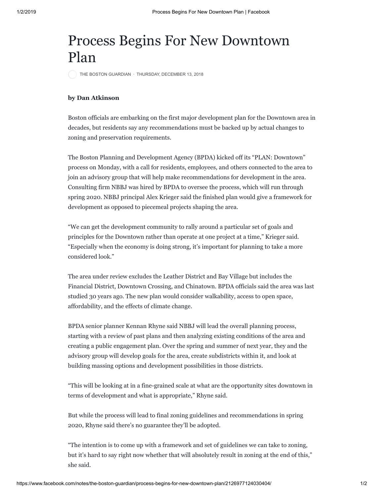## Process Begins For New Downtown Plan

[THE BOSTON GUARDIAN](https://www.facebook.com/thebostonguardian/?eid=ARBTSVDMexVEdobuJRq8fDqC-Nl8ghjo5Wc0Q3G4iwUxkUlddVhGXEBrBvvuffAtb_x6Nk4PIyUY-OXP) · [THURSDAY, DECEMBER 13, 2018](https://www.facebook.com/notes/the-boston-guardian/process-begins-for-new-downtown-plan/2126977124030404/)

## **by Dan Atkinson**

Boston officials are embarking on the first major development plan for the Downtown area in decades, but residents say any recommendations must be backed up by actual changes to zoning and preservation requirements.

The Boston Planning and Development Agency (BPDA) kicked off its "PLAN: Downtown" process on Monday, with a call for residents, employees, and others connected to the area to join an advisory group that will help make recommendations for development in the area. Consulting firm NBBJ was hired by BPDA to oversee the process, which will run through spring 2020. NBBJ principal Alex Krieger said the finished plan would give a framework for development as opposed to piecemeal projects shaping the area.

"We can get the development community to rally around a particular set of goals and principles for the Downtown rather than operate at one project at a time," Krieger said. "Especially when the economy is doing strong, it's important for planning to take a more considered look."

The area under review excludes the Leather District and Bay Village but includes the Financial District, Downtown Crossing, and Chinatown. BPDA officials said the area was last studied 30 years ago. The new plan would consider walkability, access to open space, affordability, and the effects of climate change.

BPDA senior planner Kennan Rhyne said NBBJ will lead the overall planning process, starting with a review of past plans and then analyzing existing conditions of the area and creating a public engagement plan. Over the spring and summer of next year, they and the advisory group will develop goals for the area, create subdistricts within it, and look at building massing options and development possibilities in those districts.

"This will be looking at in a fine-grained scale at what are the opportunity sites downtown in terms of development and what is appropriate," Rhyne said.

But while the process will lead to final zoning guidelines and recommendations in spring 2020, Rhyne said there's no guarantee they'll be adopted.

"The intention is to come up with a framework and set of guidelines we can take to zoning, but it's hard to say right now whether that will absolutely result in zoning at the end of this," she said.